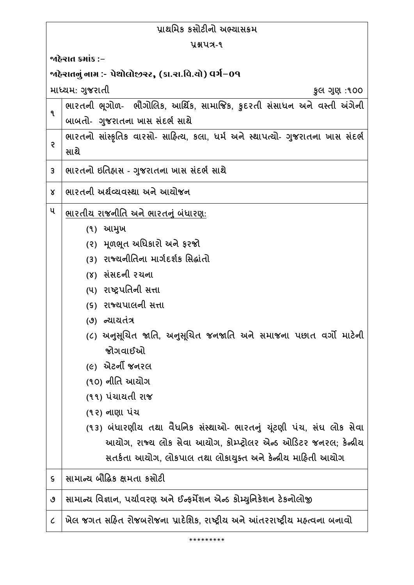| પ્રાથમિક કસોટીનો અભ્યાસક્રમ                            |                                                                                |  |
|--------------------------------------------------------|--------------------------------------------------------------------------------|--|
| <b>Y&amp;UA-9</b>                                      |                                                                                |  |
| જાઠેરાત ક્રમાંક :−                                     |                                                                                |  |
| ર્જાહેરાતનું નામ :- પેથોલોજીસ્ટ, (કા.રા.વિ.યો) વર્ગ−09 |                                                                                |  |
|                                                        | માધ્યમ: ગુજરાતી<br>કુલ ગુણ :૧૦૦                                                |  |
| ٩                                                      | ભારતની ભૂગોળ- ભૌગોલિક, આર્થિક, સામાજિક, કુદરતી સંસાધન અને વસ્તી અંગેની         |  |
|                                                        | બાબતો- ગુજરાતના ખાસ સંદર્ભ સાથે                                                |  |
| ę                                                      | ભારતનો સાંસ્કૃતિક વારસો- સાહિત્ય, કલા, ધર્મ અને સ્થાપત્યો- ગુજરાતના ખાસ સંદર્ભ |  |
|                                                        | સાથે                                                                           |  |
| 3                                                      | ભારતનો ઇતિહ્રાસ - ગુજરાતના ખાસ સંદર્ભ સાથે                                     |  |
| Χ                                                      | ભારતની અર્થવ્યવસ્થા અને આયોજન                                                  |  |
| ૫                                                      | ભારતીય રાજનીતિ અને ભારતનું બંધારણ:                                             |  |
|                                                        | (૧) આમુખ                                                                       |  |
|                                                        | (૨) મૂળભૂત અધિકારો અને ફરજો                                                    |  |
|                                                        | (3) રાજ્યનીતિના માર્ગદર્શક સિદ્ધાંતો                                           |  |
|                                                        | (४) સંસદની રચના                                                                |  |
|                                                        | (૫) રાષ્ટ્રપતિની સત્તા                                                         |  |
|                                                        | (૬) રાજ્યપાલની સત્તા                                                           |  |
|                                                        | (૭) ન્યાયતંત્ર                                                                 |  |
|                                                        | (૮) અનુસૂચિત જાતિ, અનુસૂચિત જનજાતિ અને સમાજના પછાત વર્ગો માટેની                |  |
|                                                        | જોગવાઈઓ                                                                        |  |
|                                                        | (૯) એટર્ની જનરલ                                                                |  |
|                                                        | (૧૦) નીતિ આચોગ                                                                 |  |
|                                                        | (૧૧) પંચાયતી રાજ                                                               |  |
|                                                        | (૧૨) નાણા પંચ                                                                  |  |
|                                                        | (૧૩) બંધારણીય તથા વૈધનિક સંસ્થાઓ- ભારતનું યૂંટણી પંચ, સંઘ લોક સેવા             |  |
|                                                        | આયોગ, રાજ્ય લોક સેવા આયોગ, કોમ્પ્ટ્રોલર એન્ડ ઓડિટર જનરલ; કેન્દ્રીય             |  |
|                                                        | સતર્કતા આયોગ, લોકપાલ તથા લોકાયુક્ત અને કેન્દ્રીય માહિતી આયોગ                   |  |
| ς                                                      | સામાન્ય બૌદ્ધિક ક્ષમતા કસોટી                                                   |  |
| ৩                                                      | સામાન્ય વિજ્ઞાન, પર્યાવરણ અને ઈન્ફર્મેશન એન્ડ કોમ્યુનિકેશન ટેકનોલોજી           |  |
| $\mathcal C$                                           | ખેલ જગત સહિત રોજબરોજના પ્રાદેશિક, રાષ્ટ્રીય અને આંતરરાષ્ટ્રીય મહ્ત્વના બનાવો   |  |
|                                                        |                                                                                |  |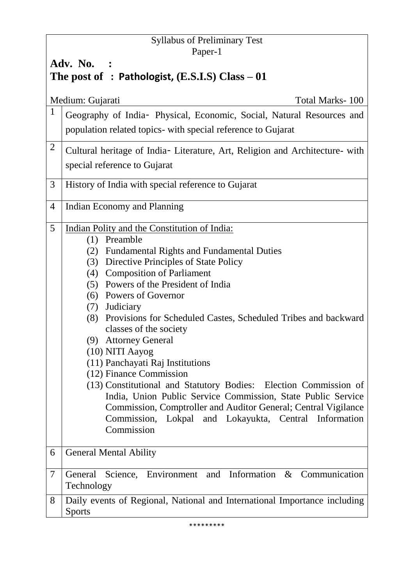## Syllabus of Preliminary Test Paper-1

# **Adv. No. : The post of : Pathologist, (E.S.I.S) Class – 01**

|                | Total Marks-100<br>Medium: Gujarati                                          |
|----------------|------------------------------------------------------------------------------|
| $\mathbf{1}$   | Geography of India- Physical, Economic, Social, Natural Resources and        |
|                | population related topics- with special reference to Gujarat                 |
| $\overline{2}$ |                                                                              |
|                | Cultural heritage of India- Literature, Art, Religion and Architecture- with |
|                | special reference to Gujarat                                                 |
| 3              | History of India with special reference to Gujarat                           |
|                |                                                                              |
| 4              | Indian Economy and Planning                                                  |
| 5              | Indian Polity and the Constitution of India:                                 |
|                | (1) Preamble                                                                 |
|                | (2) Fundamental Rights and Fundamental Duties                                |
|                | (3) Directive Principles of State Policy                                     |
|                | (4) Composition of Parliament                                                |
|                | (5) Powers of the President of India                                         |
|                | (6) Powers of Governor                                                       |
|                | (7) Judiciary                                                                |
|                | (8) Provisions for Scheduled Castes, Scheduled Tribes and backward           |
|                | classes of the society<br>(9) Attorney General                               |
|                | (10) NITI Aayog                                                              |
|                | (11) Panchayati Raj Institutions                                             |
|                | (12) Finance Commission                                                      |
|                | (13) Constitutional and Statutory Bodies: Election Commission of             |
|                | India, Union Public Service Commission, State Public Service                 |
|                | Commission, Comptroller and Auditor General; Central Vigilance               |
|                | Commission,<br>Lokpal and Lokayukta, Central Information                     |
|                | Commission                                                                   |
|                |                                                                              |
| 6              | <b>General Mental Ability</b>                                                |
| 7              | Science, Environment and Information & Communication<br>General              |
|                | Technology                                                                   |
| 8              | Daily events of Regional, National and International Importance including    |
|                | <b>Sports</b>                                                                |

\*\*\*\*\*\*\*\*\*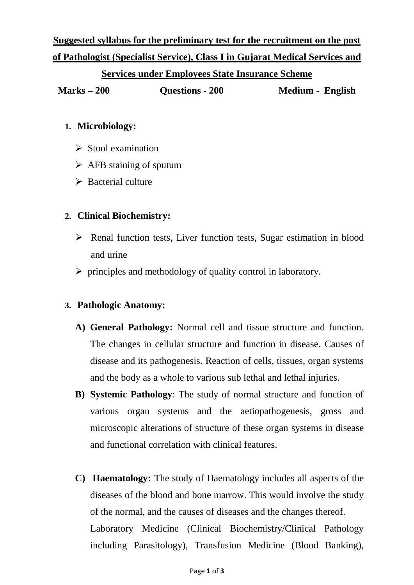**Suggested syllabus for the preliminary test for the recruitment on the post of Pathologist (Specialist Service), Class I in Gujarat Medical Services and** 

### **Services under Employees State Insurance Scheme**

**Marks – 200 Questions - 200 Medium - English**

## **1. Microbiology:**

- $\triangleright$  Stool examination
- $\triangleright$  AFB staining of sputum
- $\triangleright$  Bacterial culture

## **2. Clinical Biochemistry:**

- $\triangleright$  Renal function tests, Liver function tests, Sugar estimation in blood and urine
- $\triangleright$  principles and methodology of quality control in laboratory.

## **3. Pathologic Anatomy:**

- **A) General Pathology:** Normal cell and tissue structure and function. The changes in cellular structure and function in disease. Causes of disease and its pathogenesis. Reaction of cells, tissues, organ systems and the body as a whole to various sub lethal and lethal injuries.
- **B) Systemic Pathology**: The study of normal structure and function of various organ systems and the aetiopathogenesis, gross and microscopic alterations of structure of these organ systems in disease and functional correlation with clinical features.
- **C) Haematology:** The study of Haematology includes all aspects of the diseases of the blood and bone marrow. This would involve the study of the normal, and the causes of diseases and the changes thereof. Laboratory Medicine (Clinical Biochemistry/Clinical Pathology including Parasitology), Transfusion Medicine (Blood Banking),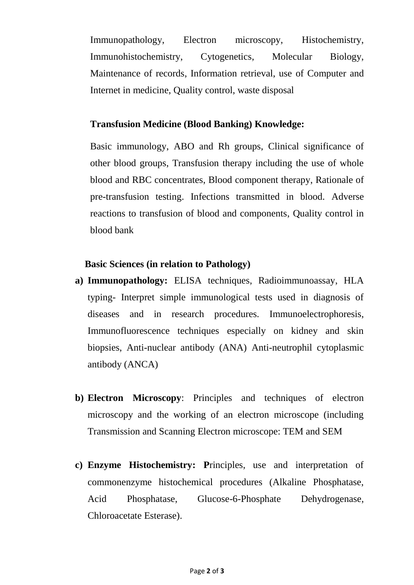Immunopathology, Electron microscopy, Histochemistry, Immunohistochemistry, Cytogenetics, Molecular Biology, Maintenance of records, Information retrieval, use of Computer and Internet in medicine, Quality control, waste disposal

#### **Transfusion Medicine (Blood Banking) Knowledge:**

Basic immunology, ABO and Rh groups, Clinical significance of other blood groups, Transfusion therapy including the use of whole blood and RBC concentrates, Blood component therapy, Rationale of pre-transfusion testing. Infections transmitted in blood. Adverse reactions to transfusion of blood and components, Quality control in blood bank

#### **Basic Sciences (in relation to Pathology)**

- **a) Immunopathology:** ELISA techniques, Radioimmunoassay, HLA typing- Interpret simple immunological tests used in diagnosis of diseases and in research procedures. Immunoelectrophoresis, Immunofluorescence techniques especially on kidney and skin biopsies, Anti-nuclear antibody (ANA) Anti-neutrophil cytoplasmic antibody (ANCA)
- **b) Electron Microscopy**: Principles and techniques of electron microscopy and the working of an electron microscope (including Transmission and Scanning Electron microscope: TEM and SEM
- **c) Enzyme Histochemistry: P**rinciples, use and interpretation of commonenzyme histochemical procedures (Alkaline Phosphatase, Acid Phosphatase, Glucose-6-Phosphate Dehydrogenase, Chloroacetate Esterase).